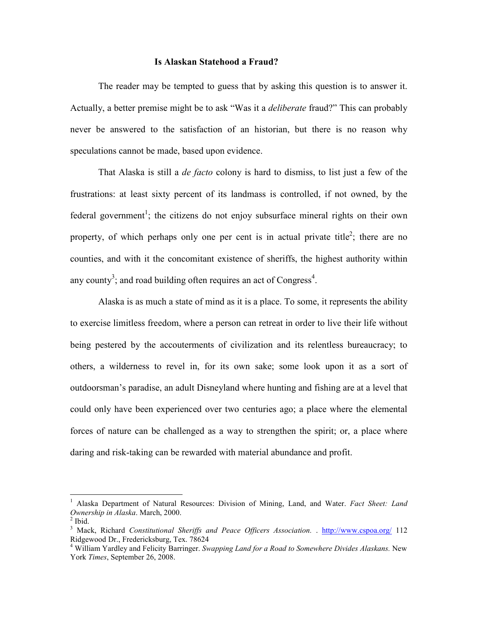## **Is Alaskan Statehood a Fraud?**

 The reader may be tempted to guess that by asking this question is to answer it. Actually, a better premise might be to ask "Was it a *deliberate* fraud?" This can probably never be answered to the satisfaction of an historian, but there is no reason why speculations cannot be made, based upon evidence.

 That Alaska is still a *de facto* colony is hard to dismiss, to list just a few of the frustrations: at least sixty percent of its landmass is controlled, if not owned, by the federal government<sup>1</sup>; the citizens do not enjoy subsurface mineral rights on their own property, of which perhaps only one per cent is in actual private title<sup>2</sup>; there are no counties, and with it the concomitant existence of sheriffs, the highest authority within any county<sup>3</sup>; and road building often requires an act of Congress<sup>4</sup>.

 Alaska is as much a state of mind as it is a place. To some, it represents the ability to exercise limitless freedom, where a person can retreat in order to live their life without being pestered by the accouterments of civilization and its relentless bureaucracy; to others, a wilderness to revel in, for its own sake; some look upon it as a sort of outdoorsman's paradise, an adult Disneyland where hunting and fishing are at a level that could only have been experienced over two centuries ago; a place where the elemental forces of nature can be challenged as a way to strengthen the spirit; or, a place where daring and risk-taking can be rewarded with material abundance and profit.

<sup>1</sup> Alaska Department of Natural Resources: Division of Mining, Land, and Water. *Fact Sheet: Land Ownership in Alaska*. March, 2000.

 $<sup>2</sup>$  Ibid.</sup>

<sup>&</sup>lt;sup>3</sup> Mack, Richard *Constitutional Sheriffs and Peace Officers Association.* . http://www.cspoa.org/ 112 Ridgewood Dr., Fredericksburg, Tex. 78624

<sup>4</sup> William Yardley and Felicity Barringer. *Swapping Land for a Road to Somewhere Divides Alaskans.* New York *Times*, September 26, 2008.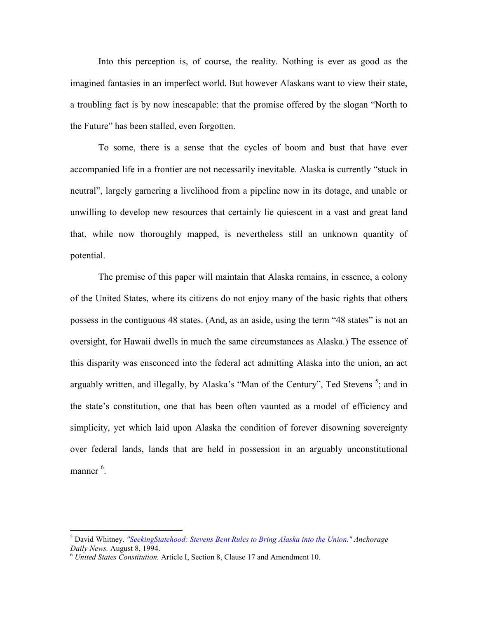Into this perception is, of course, the reality. Nothing is ever as good as the imagined fantasies in an imperfect world. But however Alaskans want to view their state, a troubling fact is by now inescapable: that the promise offered by the slogan "North to the Future" has been stalled, even forgotten.

To some, there is a sense that the cycles of boom and bust that have ever accompanied life in a frontier are not necessarily inevitable. Alaska is currently "stuck in neutral", largely garnering a livelihood from a pipeline now in its dotage, and unable or unwilling to develop new resources that certainly lie quiescent in a vast and great land that, while now thoroughly mapped, is nevertheless still an unknown quantity of potential.

The premise of this paper will maintain that Alaska remains, in essence, a colony of the United States, where its citizens do not enjoy many of the basic rights that others possess in the contiguous 48 states. (And, as an aside, using the term "48 states" is not an oversight, for Hawaii dwells in much the same circumstances as Alaska.) The essence of this disparity was ensconced into the federal act admitting Alaska into the union, an act arguably written, and illegally, by Alaska's "Man of the Century", Ted Stevens<sup>5</sup>; and in the state's constitution, one that has been often vaunted as a model of efficiency and simplicity, yet which laid upon Alaska the condition of forever disowning sovereignty over federal lands, lands that are held in possession in an arguably unconstitutional manner<sup>6</sup>.

 $\overline{a}$ 

<sup>5</sup> David Whitney. *"SeekingStatehood: Stevens Bent Rules to Bring Alaska into the Union." Anchorage Daily News.* August 8, 1994.

<sup>6</sup> *United States Constitution.* Article I, Section 8, Clause 17 and Amendment 10.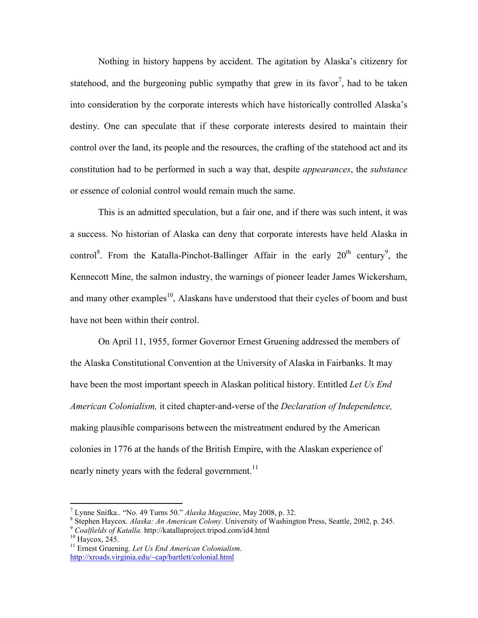Nothing in history happens by accident. The agitation by Alaska's citizenry for statehood, and the burgeoning public sympathy that grew in its favor<sup>7</sup>, had to be taken into consideration by the corporate interests which have historically controlled Alaska's destiny. One can speculate that if these corporate interests desired to maintain their control over the land, its people and the resources, the crafting of the statehood act and its constitution had to be performed in such a way that, despite *appearances*, the *substance* or essence of colonial control would remain much the same.

This is an admitted speculation, but a fair one, and if there was such intent, it was a success. No historian of Alaska can deny that corporate interests have held Alaska in control<sup>8</sup>. From the Katalla-Pinchot-Ballinger Affair in the early  $20^{th}$  century<sup>9</sup>, the Kennecott Mine, the salmon industry, the warnings of pioneer leader James Wickersham, and many other examples<sup>10</sup>, Alaskans have understood that their cycles of boom and bust have not been within their control.

On April 11, 1955, former Governor Ernest Gruening addressed the members of the Alaska Constitutional Convention at the University of Alaska in Fairbanks. It may have been the most important speech in Alaskan political history. Entitled *Let Us End American Colonialism,* it cited chapter-and-verse of the *Declaration of Independence,*  making plausible comparisons between the mistreatment endured by the American colonies in 1776 at the hands of the British Empire, with the Alaskan experience of nearly ninety years with the federal government.<sup>11</sup>

 7 Lynne Snifka.. "No. 49 Turns 50." *Alaska Magazine*, May 2008, p. 32.

<sup>8</sup> Stephen Haycox*. Alaska: An American Colony*. University of Washington Press, Seattle, 2002, p. 245.

<sup>9</sup> *Coalfields of Katalla.* http://katallaproject.tripod.com/id4.html

<sup>&</sup>lt;sup>10</sup> Haycox, 245.

<sup>11</sup> Ernest Gruening. *Let Us End American Colonialism.* http://xroads.virginia.edu/~cap/bartlett/colonial.html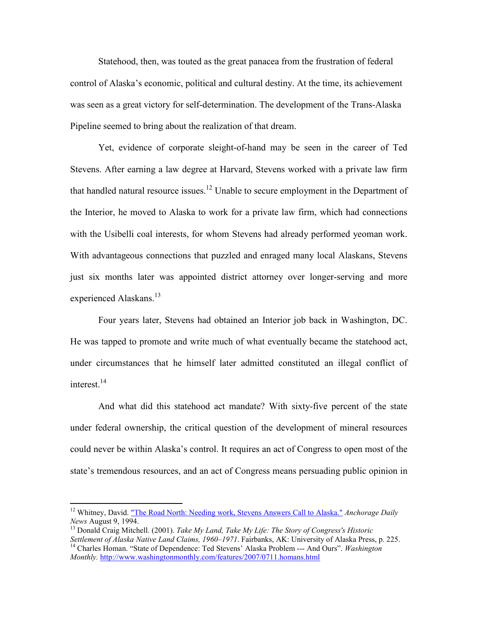Statehood, then, was touted as the great panacea from the frustration of federal control of Alaska's economic, political and cultural destiny. At the time, its achievement was seen as a great victory for self-determination. The development of the Trans-Alaska Pipeline seemed to bring about the realization of that dream.

Yet, evidence of corporate sleight-of-hand may be seen in the career of Ted Stevens. After earning a law degree at Harvard, Stevens worked with a private law firm that handled natural resource issues.<sup>12</sup> Unable to secure employment in the Department of the Interior, he moved to Alaska to work for a private law firm, which had connections with the Usibelli coal interests, for whom Stevens had already performed yeoman work. With advantageous connections that puzzled and enraged many local Alaskans, Stevens just six months later was appointed district attorney over longer-serving and more experienced Alaskans.<sup>13</sup>

Four years later, Stevens had obtained an Interior job back in Washington, DC. He was tapped to promote and write much of what eventually became the statehood act, under circumstances that he himself later admitted constituted an illegal conflict of interest.<sup>14</sup>

And what did this statehood act mandate? With sixty-five percent of the state under federal ownership, the critical question of the development of mineral resources could never be within Alaska's control. It requires an act of Congress to open most of the state's tremendous resources, and an act of Congress means persuading public opinion in

-

<sup>&</sup>lt;sup>12</sup> Whitney, David. "The Road North: Needing work, Stevens Answers Call to Alaska." Anchorage Daily *News* August 9, 1994.

<sup>13</sup> Donald Craig Mitchell. (2001). *Take My Land, Take My Life: The Story of Congress's Historic Settlement of Alaska Native Land Claims, 1960–1971*. Fairbanks, AK: University of Alaska Press, p. 225.

<sup>&</sup>lt;sup>14</sup> Charles Homan. "State of Dependence: Ted Stevens' Alaska Problem --- And Ours". *Washington Monthly.* http://www.washingtonmonthly.com/features/2007/0711.homans.html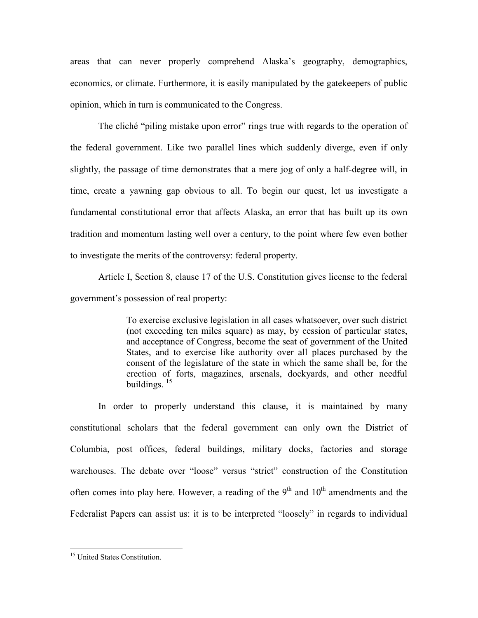areas that can never properly comprehend Alaska's geography, demographics, economics, or climate. Furthermore, it is easily manipulated by the gatekeepers of public opinion, which in turn is communicated to the Congress.

The cliché "piling mistake upon error" rings true with regards to the operation of the federal government. Like two parallel lines which suddenly diverge, even if only slightly, the passage of time demonstrates that a mere jog of only a half-degree will, in time, create a yawning gap obvious to all. To begin our quest, let us investigate a fundamental constitutional error that affects Alaska, an error that has built up its own tradition and momentum lasting well over a century, to the point where few even bother to investigate the merits of the controversy: federal property.

Article I, Section 8, clause 17 of the U.S. Constitution gives license to the federal government's possession of real property:

> To exercise exclusive legislation in all cases whatsoever, over such district (not exceeding ten miles square) as may, by cession of particular states, and acceptance of Congress, become the seat of government of the United States, and to exercise like authority over all places purchased by the consent of the legislature of the state in which the same shall be, for the erection of forts, magazines, arsenals, dockyards, and other needful buildings. <sup>15</sup>

 In order to properly understand this clause, it is maintained by many constitutional scholars that the federal government can only own the District of Columbia, post offices, federal buildings, military docks, factories and storage warehouses. The debate over "loose" versus "strict" construction of the Constitution often comes into play here. However, a reading of the  $9<sup>th</sup>$  and  $10<sup>th</sup>$  amendments and the Federalist Papers can assist us: it is to be interpreted "loosely" in regards to individual

 $\overline{a}$ 

<sup>&</sup>lt;sup>15</sup> United States Constitution.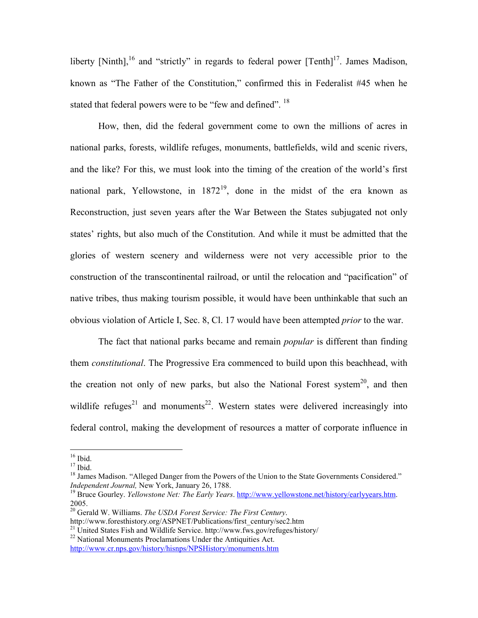liberty [Ninth],<sup>16</sup> and "strictly" in regards to federal power  $[Tenth]$ <sup>17</sup>. James Madison, known as "The Father of the Constitution," confirmed this in Federalist #45 when he stated that federal powers were to be "few and defined".  $18$ 

How, then, did the federal government come to own the millions of acres in national parks, forests, wildlife refuges, monuments, battlefields, wild and scenic rivers, and the like? For this, we must look into the timing of the creation of the world's first national park, Yellowstone, in 1872<sup>19</sup>, done in the midst of the era known as Reconstruction, just seven years after the War Between the States subjugated not only states' rights, but also much of the Constitution. And while it must be admitted that the glories of western scenery and wilderness were not very accessible prior to the construction of the transcontinental railroad, or until the relocation and "pacification" of native tribes, thus making tourism possible, it would have been unthinkable that such an obvious violation of Article I, Sec. 8, Cl. 17 would have been attempted *prior* to the war.

The fact that national parks became and remain *popular* is different than finding them *constitutional*. The Progressive Era commenced to build upon this beachhead, with the creation not only of new parks, but also the National Forest system<sup>20</sup>, and then wildlife refuges<sup>21</sup> and monuments<sup>22</sup>. Western states were delivered increasingly into federal control, making the development of resources a matter of corporate influence in

-

 $16$  Ibid.

 $17$  Ibid.

<sup>&</sup>lt;sup>18</sup> James Madison. "Alleged Danger from the Powers of the Union to the State Governments Considered." *Independent Journal,* New York, January 26, 1788.

<sup>19</sup> Bruce Gourley. *Yellowstone Net: The Early Years*. http://www.yellowstone.net/history/earlyyears.htm. 2005.

<sup>20</sup> Gerald W. Williams. *The USDA Forest Service: The First Century*.

http://www.foresthistory.org/ASPNET/Publications/first\_century/sec2.htm

<sup>&</sup>lt;sup>21</sup> United States Fish and Wildlife Service. http://www.fws.gov/refuges/history/

<sup>&</sup>lt;sup>22</sup> National Monuments Proclamations Under the Antiquities Act. http://www.cr.nps.gov/history/hisnps/NPSHistory/monuments.htm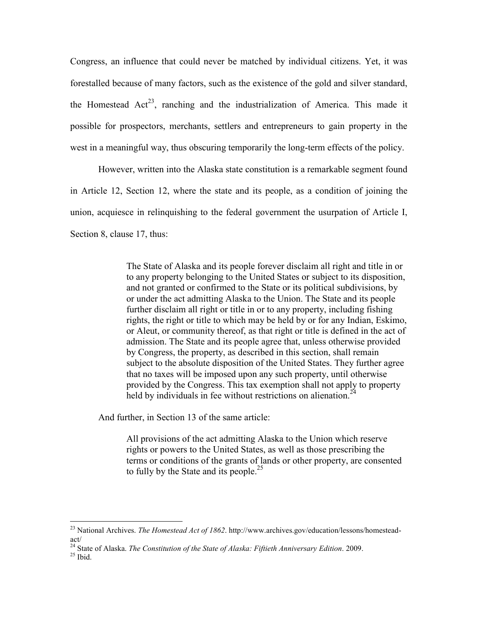Congress, an influence that could never be matched by individual citizens. Yet, it was forestalled because of many factors, such as the existence of the gold and silver standard, the Homestead  $Act^{23}$ , ranching and the industrialization of America. This made it possible for prospectors, merchants, settlers and entrepreneurs to gain property in the west in a meaningful way, thus obscuring temporarily the long-term effects of the policy.

However, written into the Alaska state constitution is a remarkable segment found in Article 12, Section 12, where the state and its people, as a condition of joining the union, acquiesce in relinquishing to the federal government the usurpation of Article I, Section 8, clause 17, thus:

> The State of Alaska and its people forever disclaim all right and title in or to any property belonging to the United States or subject to its disposition, and not granted or confirmed to the State or its political subdivisions, by or under the act admitting Alaska to the Union. The State and its people further disclaim all right or title in or to any property, including fishing rights, the right or title to which may be held by or for any Indian, Eskimo, or Aleut, or community thereof, as that right or title is defined in the act of admission. The State and its people agree that, unless otherwise provided by Congress, the property, as described in this section, shall remain subject to the absolute disposition of the United States. They further agree that no taxes will be imposed upon any such property, until otherwise provided by the Congress. This tax exemption shall not apply to property held by individuals in fee without restrictions on alienation.<sup>24</sup>

And further, in Section 13 of the same article:

All provisions of the act admitting Alaska to the Union which reserve rights or powers to the United States, as well as those prescribing the terms or conditions of the grants of lands or other property, are consented to fully by the State and its people.<sup>25</sup>

 $25$  Ibid.

<sup>23</sup> National Archives. *The Homestead Act of 1862*. http://www.archives.gov/education/lessons/homesteadact/

<sup>24</sup> State of Alaska. *The Constitution of the State of Alaska: Fiftieth Anniversary Edition*. 2009.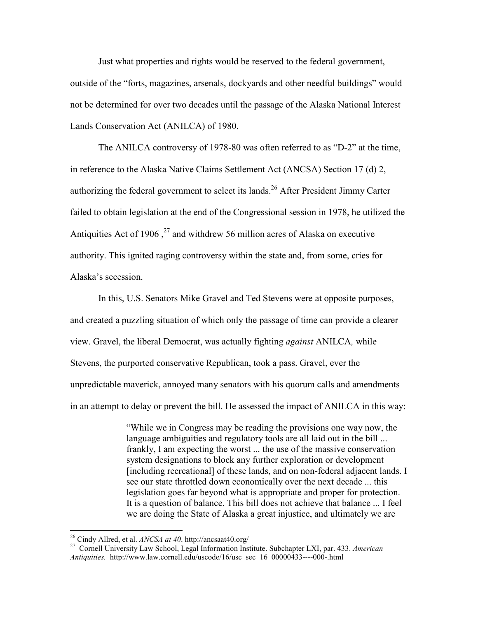Just what properties and rights would be reserved to the federal government, outside of the "forts, magazines, arsenals, dockyards and other needful buildings" would not be determined for over two decades until the passage of the Alaska National Interest Lands Conservation Act (ANILCA) of 1980.

The ANILCA controversy of 1978-80 was often referred to as "D-2" at the time, in reference to the Alaska Native Claims Settlement Act (ANCSA) Section 17 (d) 2, authorizing the federal government to select its lands.<sup>26</sup> After President Jimmy Carter failed to obtain legislation at the end of the Congressional session in 1978, he utilized the Antiquities Act of 1906,  $^{27}$  and withdrew 56 million acres of Alaska on executive authority. This ignited raging controversy within the state and, from some, cries for Alaska's secession.

In this, U.S. Senators Mike Gravel and Ted Stevens were at opposite purposes, and created a puzzling situation of which only the passage of time can provide a clearer view. Gravel, the liberal Democrat, was actually fighting *against* ANILCA*,* while Stevens, the purported conservative Republican, took a pass. Gravel, ever the unpredictable maverick, annoyed many senators with his quorum calls and amendments in an attempt to delay or prevent the bill. He assessed the impact of ANILCA in this way:

> "While we in Congress may be reading the provisions one way now, the language ambiguities and regulatory tools are all laid out in the bill ... frankly, I am expecting the worst ... the use of the massive conservation system designations to block any further exploration or development [including recreational] of these lands, and on non-federal adjacent lands. I see our state throttled down economically over the next decade ... this legislation goes far beyond what is appropriate and proper for protection. It is a question of balance. This bill does not achieve that balance ... I feel we are doing the State of Alaska a great injustice, and ultimately we are

<sup>26</sup> Cindy Allred, et al. *ANCSA at 40*. http://ancsaat40.org/

<sup>27</sup> Cornell University Law School, Legal Information Institute. Subchapter LXI, par. 433. *American Antiquities.* http://www.law.cornell.edu/uscode/16/usc\_sec\_16\_00000433----000-.html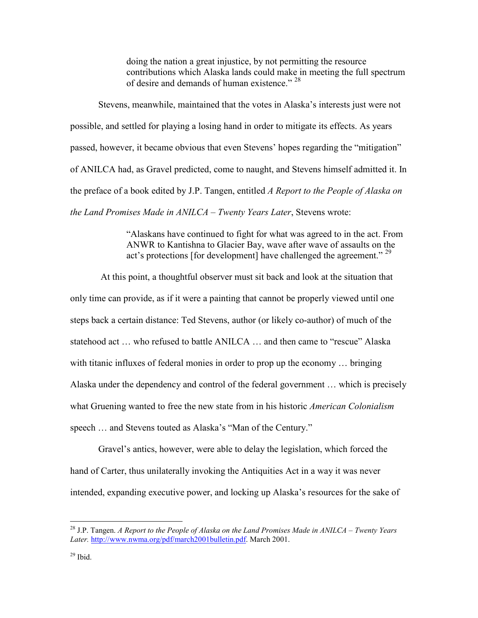doing the nation a great injustice, by not permitting the resource contributions which Alaska lands could make in meeting the full spectrum of desire and demands of human existence." <sup>28</sup>

Stevens, meanwhile, maintained that the votes in Alaska's interests just were not possible, and settled for playing a losing hand in order to mitigate its effects. As years passed, however, it became obvious that even Stevens' hopes regarding the "mitigation" of ANILCA had, as Gravel predicted, come to naught, and Stevens himself admitted it. In the preface of a book edited by J.P. Tangen, entitled *A Report to the People of Alaska on the Land Promises Made in ANILCA – Twenty Years Later*, Stevens wrote:

> "Alaskans have continued to fight for what was agreed to in the act. From ANWR to Kantishna to Glacier Bay, wave after wave of assaults on the act's protections [for development] have challenged the agreement." <sup>29</sup>

 At this point, a thoughtful observer must sit back and look at the situation that only time can provide, as if it were a painting that cannot be properly viewed until one steps back a certain distance: Ted Stevens, author (or likely co-author) of much of the statehood act … who refused to battle ANILCA … and then came to "rescue" Alaska with titanic influxes of federal monies in order to prop up the economy … bringing Alaska under the dependency and control of the federal government … which is precisely what Gruening wanted to free the new state from in his historic *American Colonialism* speech … and Stevens touted as Alaska's "Man of the Century."

Gravel's antics, however, were able to delay the legislation, which forced the hand of Carter, thus unilaterally invoking the Antiquities Act in a way it was never intended, expanding executive power, and locking up Alaska's resources for the sake of

<sup>28</sup> J.P. Tangen. *A Report to the People of Alaska on the Land Promises Made in ANILCA – Twenty Years Later.* http://www.nwma.org/pdf/march2001bulletin.pdf. March 2001.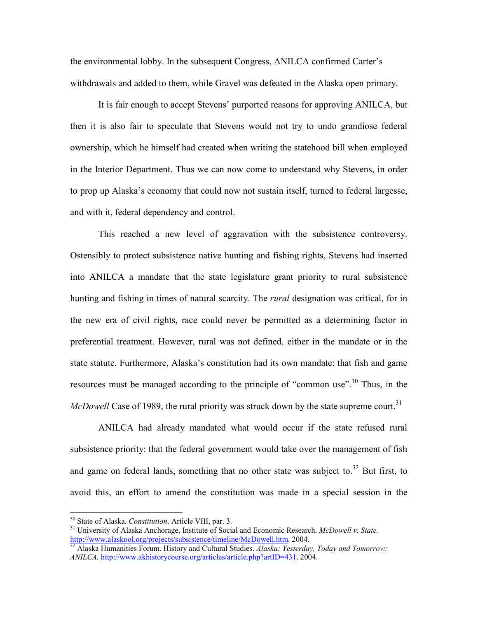the environmental lobby. In the subsequent Congress, ANILCA confirmed Carter's withdrawals and added to them, while Gravel was defeated in the Alaska open primary.

It is fair enough to accept Stevens' purported reasons for approving ANILCA, but then it is also fair to speculate that Stevens would not try to undo grandiose federal ownership, which he himself had created when writing the statehood bill when employed in the Interior Department. Thus we can now come to understand why Stevens, in order to prop up Alaska's economy that could now not sustain itself, turned to federal largesse, and with it, federal dependency and control.

This reached a new level of aggravation with the subsistence controversy. Ostensibly to protect subsistence native hunting and fishing rights, Stevens had inserted into ANILCA a mandate that the state legislature grant priority to rural subsistence hunting and fishing in times of natural scarcity. The *rural* designation was critical, for in the new era of civil rights, race could never be permitted as a determining factor in preferential treatment. However, rural was not defined, either in the mandate or in the state statute. Furthermore, Alaska's constitution had its own mandate: that fish and game resources must be managed according to the principle of "common use".<sup>30</sup> Thus, in the *McDowell* Case of 1989, the rural priority was struck down by the state supreme court.<sup>31</sup>

ANILCA had already mandated what would occur if the state refused rural subsistence priority: that the federal government would take over the management of fish and game on federal lands, something that no other state was subject to. $32$  But first, to avoid this, an effort to amend the constitution was made in a special session in the

-

<sup>30</sup> State of Alaska. *Constitution*. Article VIII, par. 3.

<sup>31</sup> University of Alaska Anchorage, Institute of Social and Economic Research. *McDowell v. State.*  http://www.alaskool.org/projects/subsistence/timeline/McDowell.htm. 2004.

<sup>32</sup> Alaska Humanities Forum. History and Cultural Studies. *Alaska: Yesterday, Today and Tomorrow: ANILCA.* http://www.akhistorycourse.org/articles/article.php?artID=431. 2004.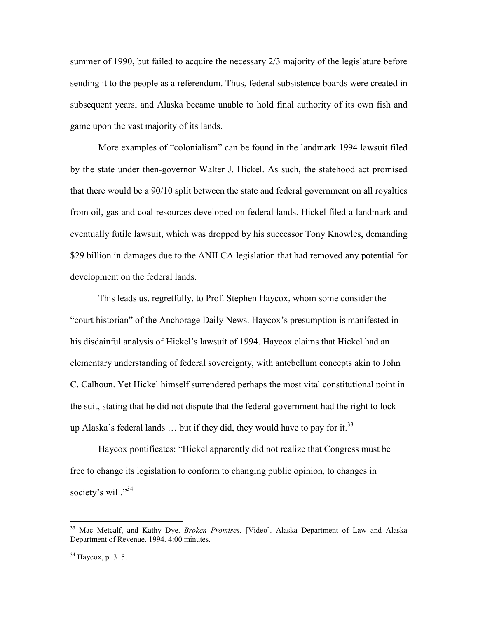summer of 1990, but failed to acquire the necessary 2/3 majority of the legislature before sending it to the people as a referendum. Thus, federal subsistence boards were created in subsequent years, and Alaska became unable to hold final authority of its own fish and game upon the vast majority of its lands.

More examples of "colonialism" can be found in the landmark 1994 lawsuit filed by the state under then-governor Walter J. Hickel. As such, the statehood act promised that there would be a 90/10 split between the state and federal government on all royalties from oil, gas and coal resources developed on federal lands. Hickel filed a landmark and eventually futile lawsuit, which was dropped by his successor Tony Knowles, demanding \$29 billion in damages due to the ANILCA legislation that had removed any potential for development on the federal lands.

This leads us, regretfully, to Prof. Stephen Haycox, whom some consider the "court historian" of the Anchorage Daily News. Haycox's presumption is manifested in his disdainful analysis of Hickel's lawsuit of 1994. Haycox claims that Hickel had an elementary understanding of federal sovereignty, with antebellum concepts akin to John C. Calhoun. Yet Hickel himself surrendered perhaps the most vital constitutional point in the suit, stating that he did not dispute that the federal government had the right to lock up Alaska's federal lands  $\ldots$  but if they did, they would have to pay for it.<sup>33</sup>

Haycox pontificates: "Hickel apparently did not realize that Congress must be free to change its legislation to conform to changing public opinion, to changes in society's will."<sup>34</sup>

<sup>33</sup> Mac Metcalf, and Kathy Dye. *Broken Promises*. [Video]. Alaska Department of Law and Alaska Department of Revenue. 1994. 4:00 minutes.

 $34$  Haycox, p. 315.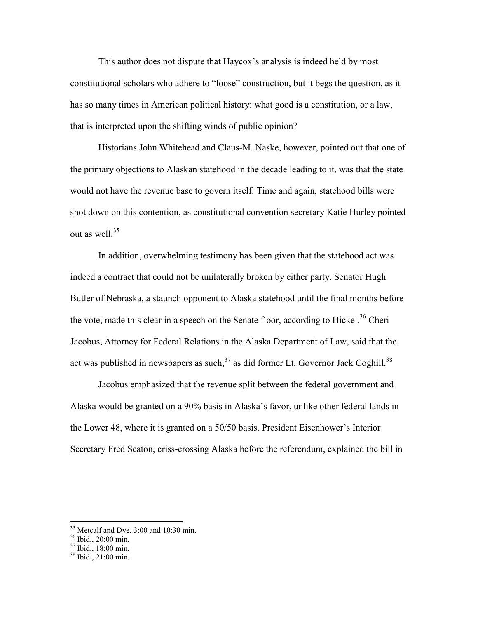This author does not dispute that Haycox's analysis is indeed held by most constitutional scholars who adhere to "loose" construction, but it begs the question, as it has so many times in American political history: what good is a constitution, or a law, that is interpreted upon the shifting winds of public opinion?

Historians John Whitehead and Claus-M. Naske, however, pointed out that one of the primary objections to Alaskan statehood in the decade leading to it, was that the state would not have the revenue base to govern itself. Time and again, statehood bills were shot down on this contention, as constitutional convention secretary Katie Hurley pointed out as well. $35$ 

In addition, overwhelming testimony has been given that the statehood act was indeed a contract that could not be unilaterally broken by either party. Senator Hugh Butler of Nebraska, a staunch opponent to Alaska statehood until the final months before the vote, made this clear in a speech on the Senate floor, according to Hickel.<sup>36</sup> Cheri Jacobus, Attorney for Federal Relations in the Alaska Department of Law, said that the act was published in newspapers as such,  $37$  as did former Lt. Governor Jack Coghill.<sup>38</sup>

Jacobus emphasized that the revenue split between the federal government and Alaska would be granted on a 90% basis in Alaska's favor, unlike other federal lands in the Lower 48, where it is granted on a 50/50 basis. President Eisenhower's Interior Secretary Fred Seaton, criss-crossing Alaska before the referendum, explained the bill in

 $\overline{a}$ 

 $35$  Metcalf and Dye, 3:00 and 10:30 min.

<sup>36</sup> Ibid., 20:00 min.

<sup>37</sup> Ibid., 18:00 min.

<sup>38</sup> Ibid., 21:00 min.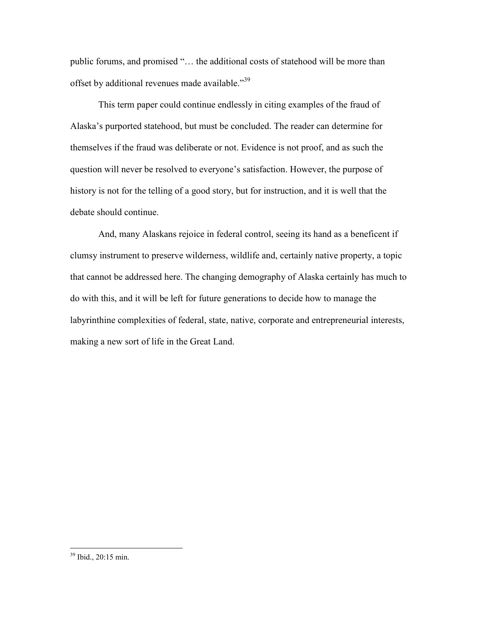public forums, and promised "… the additional costs of statehood will be more than offset by additional revenues made available."<sup>39</sup>

This term paper could continue endlessly in citing examples of the fraud of Alaska's purported statehood, but must be concluded. The reader can determine for themselves if the fraud was deliberate or not. Evidence is not proof, and as such the question will never be resolved to everyone's satisfaction. However, the purpose of history is not for the telling of a good story, but for instruction, and it is well that the debate should continue.

And, many Alaskans rejoice in federal control, seeing its hand as a beneficent if clumsy instrument to preserve wilderness, wildlife and, certainly native property, a topic that cannot be addressed here. The changing demography of Alaska certainly has much to do with this, and it will be left for future generations to decide how to manage the labyrinthine complexities of federal, state, native, corporate and entrepreneurial interests, making a new sort of life in the Great Land.

<sup>39</sup> Ibid., 20:15 min.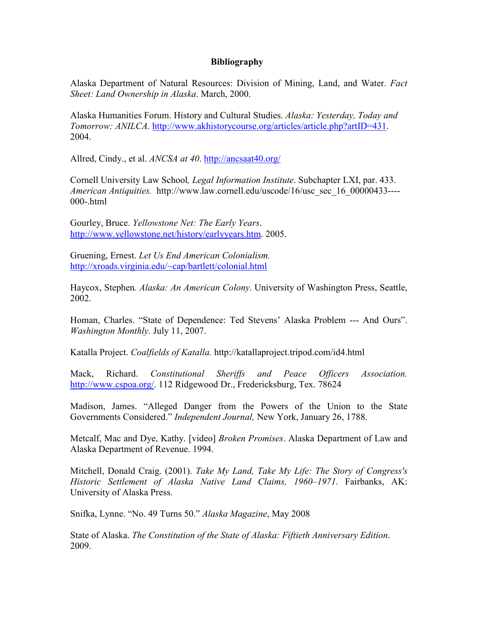## **Bibliography**

Alaska Department of Natural Resources: Division of Mining, Land, and Water. *Fact Sheet: Land Ownership in Alaska*. March, 2000.

Alaska Humanities Forum. History and Cultural Studies. *Alaska: Yesterday, Today and Tomorrow: ANILCA.* http://www.akhistorycourse.org/articles/article.php?artID=431. 2004.

Allred, Cindy., et al. *ANCSA at 40*. http://ancsaat40.org/

Cornell University Law School*, Legal Information Institute*. Subchapter LXI, par. 433. *American Antiquities.* http://www.law.cornell.edu/uscode/16/usc\_sec\_16\_00000433---- 000-.html

Gourley, Bruce. *Yellowstone Net: The Early Years*. http://www.yellowstone.net/history/earlyyears.htm. 2005.

Gruening, Ernest. *Let Us End American Colonialism.* http://xroads.virginia.edu/~cap/bartlett/colonial.html

Haycox, Stephen*. Alaska: An American Colony*. University of Washington Press, Seattle, 2002.

Homan, Charles. "State of Dependence: Ted Stevens' Alaska Problem --- And Ours". *Washington Monthly.* July 11, 2007.

Katalla Project. *Coalfields of Katalla.* http://katallaproject.tripod.com/id4.html

Mack, Richard. *Constitutional Sheriffs and Peace Officers Association.* http://www.cspoa.org/. 112 Ridgewood Dr., Fredericksburg, Tex. 78624

Madison, James. "Alleged Danger from the Powers of the Union to the State Governments Considered." *Independent Journal,* New York, January 26, 1788.

Metcalf, Mac and Dye, Kathy. [video] *Broken Promises*. Alaska Department of Law and Alaska Department of Revenue. 1994.

Mitchell, Donald Craig. (2001). *Take My Land, Take My Life: The Story of Congress's Historic Settlement of Alaska Native Land Claims, 1960–1971*. Fairbanks, AK: University of Alaska Press.

Snifka, Lynne. "No. 49 Turns 50." *Alaska Magazine*, May 2008

State of Alaska. *The Constitution of the State of Alaska: Fiftieth Anniversary Edition*. 2009.